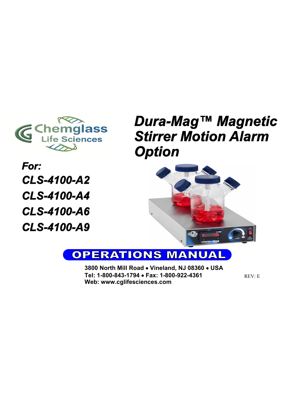

For: **CLS-4100-A2 CLS-4100-A4 CLS-4100-A6** CLS-4100-A9

# Dura-Mag™ Magnetic **Stirrer Motion Alarm Option**



#### **OPERATIONS MANU**  $\left| \right/ \!\! \Delta \! \left| \right.$

**3800 North Mill Road** • **Vineland, NJ 08360** • **USA Tel: 1-800-843-1794** • **Fax: 1-800-922-4361 Web: www.cglifesciences.com**

REV: E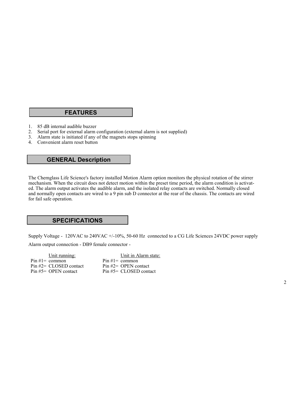## **FEATURES**

- 1. 85 dB internal audible buzzer
- 2. Serial port for external alarm configuration (external alarm is not supplied)
- 3. Alarm state is initiated if any of the magnets stops spinning
- 4. Convenient alarm reset button

#### **GENERAL Description**

The Chemglass Life Science's factory installed Motion Alarm option monitors the physical rotation of the stirrer mechanism. When the circuit does not detect motion within the preset time period, the alarm condition is activated. The alarm output activates the audible alarm, and the isolated relay contacts are switched. Normally closed and normally open contacts are wired to a 9 pin sub D connector at the rear of the chassis. The contacts are wired for fail safe operation.

## **SPECIFICATIONS**

Supply Voltage - 120VAC to 240VAC +/-10%, 50-60 Hz connected to a CG Life Sciences 24VDC power supply Alarm output connection - DB9 female connector -

Unit running: Pin  $#1=$  common Pin #2= CLOSED contact Pin #5= OPEN contact

Unit in Alarm state: Pin  $#1=$  common Pin #2= OPEN contact Pin #5= CLOSED contact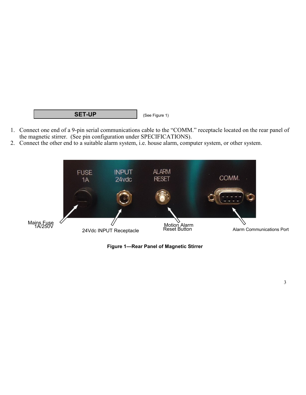#### **SET-UP** (See Figure 1)

- 1. Connect one end of a 9-pin serial communications cable to the "COMM." receptacle located on the rear panel of the magnetic stirrer. (See pin configuration under SPECIFICATIONS).
- 2. Connect the other end to a suitable alarm system, i.e. house alarm, computer system, or other system.



**Figure 1—Rear Panel of Magnetic Stirrer**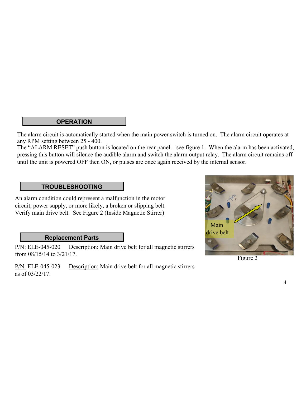# **OPERATION**

The alarm circuit is automatically started when the main power switch is turned on. The alarm circuit operates at any RPM setting between 25 - 400.

The "ALARM RESET" push button is located on the rear panel – see figure 1. When the alarm has been activated, pressing this button will silence the audible alarm and switch the alarm output relay. The alarm circuit remains off until the unit is powered OFF then ON, or pulses are once again received by the internal sensor.

# **TROUBLESHOOTING**

An alarm condition could represent a malfunction in the motor circuit, power supply, or more likely, a broken or slipping belt. Verify main drive belt. See Figure 2 (Inside Magnetic Stirrer)

# **Replacement Parts**

P/N: ELE-045-020 Description: Main drive belt for all magnetic stirrers from 08/15/14 to 3/21/17.

P/N: ELE-045-023 Description: Main drive belt for all magnetic stirrers as of 03/22/17.



Figure 2